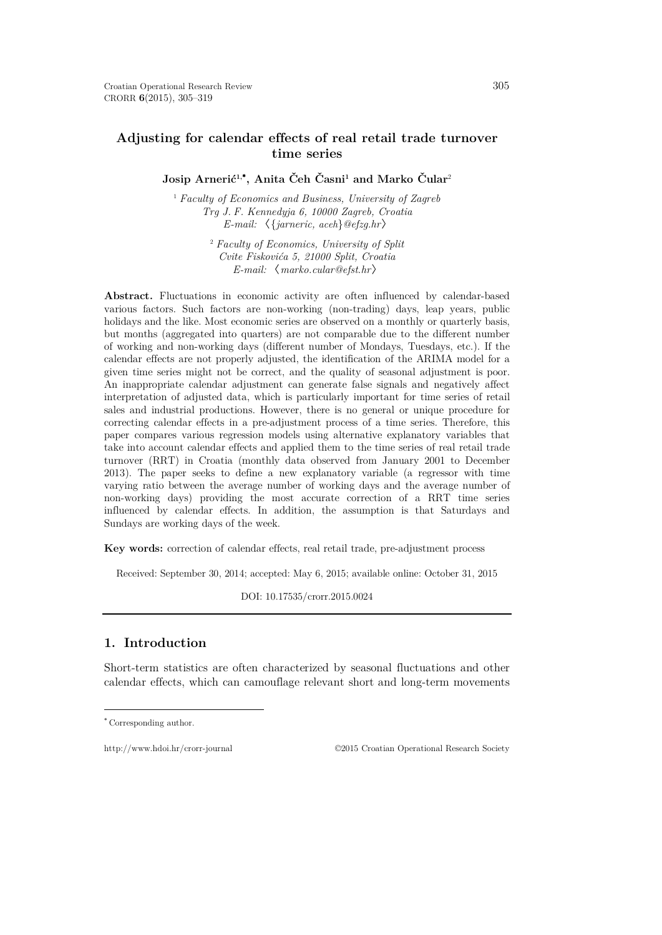# **Adjusting for calendar effects of real retail trade turnover time series**

**Josip Arnerić1,**[∗](#page-0-0) **, Anita Čeh Časni1 and Marko Čular**<sup>2</sup>

<sup>1</sup> *Faculty of Economics and Business, University of Zagreb Trg J. F. Kennedyja 6, 10000 Zagreb, Croatia E-mail:* 〈{*jarneric, aceh*}*@efzg.hr*〉

> <sup>2</sup> *Faculty of Economics, University of Split Cvite Fiskovića 5, 21000 Split, Croatia E-mail:* 〈*marko.cular@efst.hr*〉

**Abstract.** Fluctuations in economic activity are often influenced by calendar-based various factors. Such factors are non-working (non-trading) days, leap years, public holidays and the like. Most economic series are observed on a monthly or quarterly basis, but months (aggregated into quarters) are not comparable due to the different number of working and non-working days (different number of Mondays, Tuesdays, etc.). If the calendar effects are not properly adjusted, the identification of the ARIMA model for a given time series might not be correct, and the quality of seasonal adjustment is poor. An inappropriate calendar adjustment can generate false signals and negatively affect interpretation of adjusted data, which is particularly important for time series of retail sales and industrial productions. However, there is no general or unique procedure for correcting calendar effects in a pre-adjustment process of a time series. Therefore, this paper compares various regression models using alternative explanatory variables that take into account calendar effects and applied them to the time series of real retail trade turnover (RRT) in Croatia (monthly data observed from January 2001 to December 2013). The paper seeks to define a new explanatory variable (a regressor with time varying ratio between the average number of working days and the average number of non-working days) providing the most accurate correction of a RRT time series influenced by calendar effects. In addition, the assumption is that Saturdays and Sundays are working days of the week.

**Key words:** correction of calendar effects, real retail trade, pre-adjustment process

Received: September 30, 2014; accepted: May 6, 2015; available online: October 31, 2015

DOI: 10.17535/crorr.2015.0024

# **1. Introduction**

Short-term statistics are often characterized by seasonal fluctuations and other calendar effects, which can camouflage relevant short and long-term movements

 $\overline{a}$ 

http://www.hdoi.hr/crorr-journal ©2015 Croatian Operational Research Society

<span id="page-0-0"></span><sup>∗</sup> Corresponding author.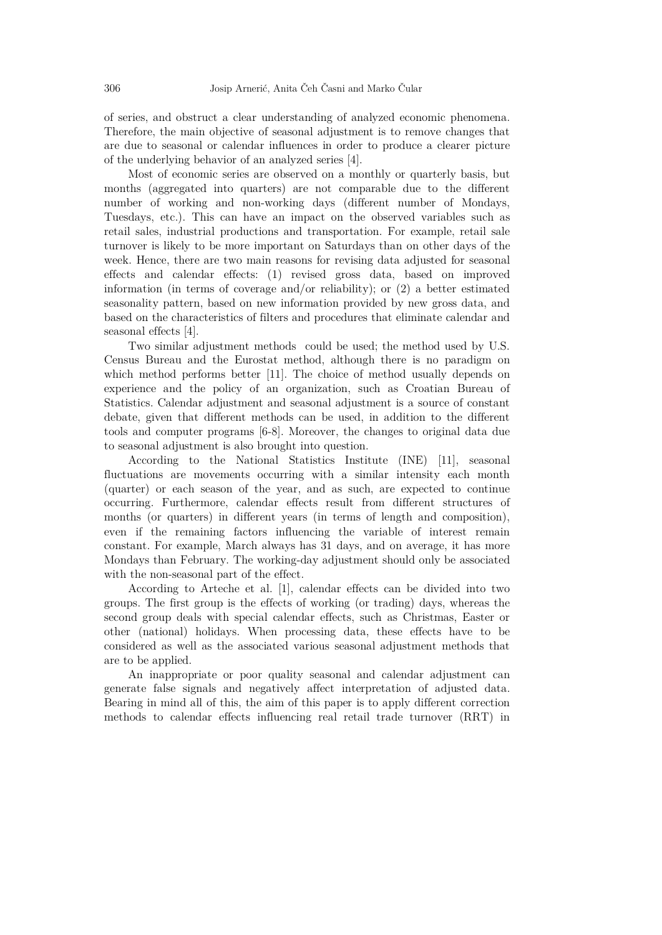of series, and obstruct a clear understanding of analyzed economic phenomena. Therefore, the main objective of seasonal adjustment is to remove changes that are due to seasonal or calendar influences in order to produce a clearer picture of the underlying behavior of an analyzed series [4].

Most of economic series are observed on a monthly or quarterly basis, but months (aggregated into quarters) are not comparable due to the different number of working and non-working days (different number of Mondays, Tuesdays, etc.). This can have an impact on the observed variables such as retail sales, industrial productions and transportation. For example, retail sale turnover is likely to be more important on Saturdays than on other days of the week. Hence, there are two main reasons for revising data adjusted for seasonal effects and calendar effects: (1) revised gross data, based on improved information (in terms of coverage and/or reliability); or  $(2)$  a better estimated seasonality pattern, based on new information provided by new gross data, and based on the characteristics of filters and procedures that eliminate calendar and seasonal effects [4].

Two similar adjustment methods could be used; the method used by U.S. Census Bureau and the Eurostat method, although there is no paradigm on which method performs better [11]. The choice of method usually depends on experience and the policy of an organization, such as Croatian Bureau of Statistics. Calendar adjustment and seasonal adjustment is a source of constant debate, given that different methods can be used, in addition to the different tools and computer programs [6-8]. Moreover, the changes to original data due to seasonal adjustment is also brought into question.

According to the National Statistics Institute (INE) [11], seasonal fluctuations are movements occurring with a similar intensity each month (quarter) or each season of the year, and as such, are expected to continue occurring. Furthermore, calendar effects result from different structures of months (or quarters) in different years (in terms of length and composition), even if the remaining factors influencing the variable of interest remain constant. For example, March always has 31 days, and on average, it has more Mondays than February. The working-day adjustment should only be associated with the non-seasonal part of the effect.

According to Arteche et al. [1], calendar effects can be divided into two groups. The first group is the effects of working (or trading) days, whereas the second group deals with special calendar effects, such as Christmas, Easter or other (national) holidays. When processing data, these effects have to be considered as well as the associated various seasonal adjustment methods that are to be applied.

An inappropriate or poor quality seasonal and calendar adjustment can generate false signals and negatively affect interpretation of adjusted data. Bearing in mind all of this, the aim of this paper is to apply different correction methods to calendar effects influencing real retail trade turnover (RRT) in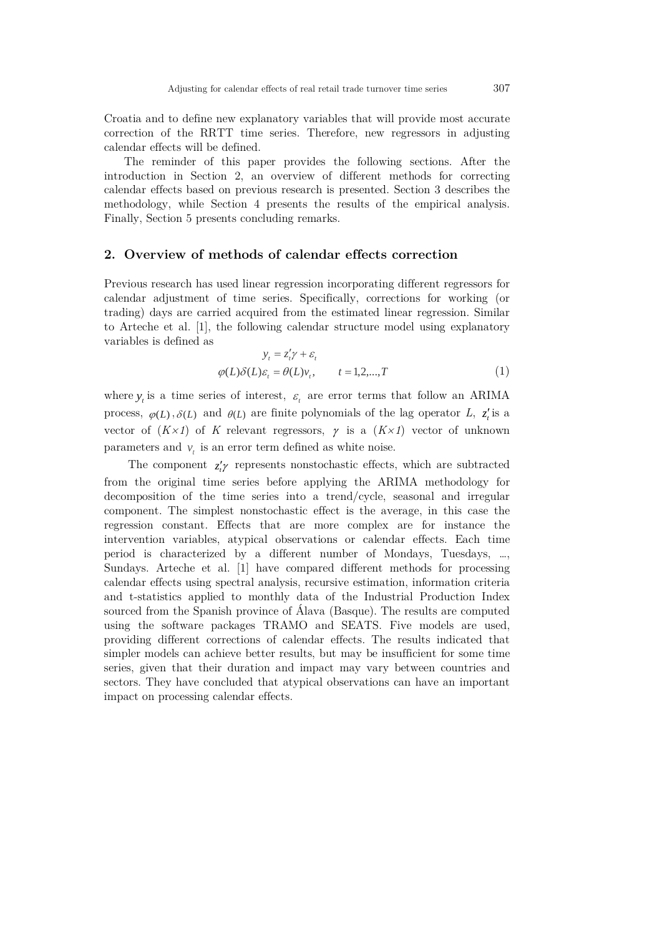Croatia and to define new explanatory variables that will provide most accurate correction of the RRTT time series. Therefore, new regressors in adjusting calendar effects will be defined.

The reminder of this paper provides the following sections. After the introduction in Section 2, an overview of different methods for correcting calendar effects based on previous research is presented. Section 3 describes the methodology, while Section 4 presents the results of the empirical analysis. Finally, Section 5 presents concluding remarks.

#### **2. Overview of methods of calendar effects correction**

Previous research has used linear regression incorporating different regressors for calendar adjustment of time series. Specifically, corrections for working (or trading) days are carried acquired from the estimated linear regression. Similar to Arteche et al. [1], the following calendar structure model using explanatory variables is defined as

$$
y_t = z_t' \gamma + \varepsilon_t
$$
  

$$
\varphi(L)\delta(L)\varepsilon_t = \theta(L)v_t, \qquad t = 1, 2, ..., T
$$
 (1)

where  $y_t$  is a time series of interest,  $\varepsilon$ , are error terms that follow an ARIMA process,  $\varphi(L), \delta(L)$  and  $\theta(L)$  are finite polynomials of the lag operator *L*,  $z_i$  is a vector of  $(K \times I)$  of *K* relevant regressors,  $\gamma$  is a  $(K \times I)$  vector of unknown parameters and  $v_t$  is an error term defined as white noise.

The component  $z'_i \gamma$  represents nonstochastic effects, which are subtracted from the original time series before applying the ARIMA methodology for decomposition of the time series into a trend/cycle, seasonal and irregular component. The simplest nonstochastic effect is the average, in this case the regression constant. Effects that are more complex are for instance the intervention variables, atypical observations or calendar effects. Each time period is characterized by a different number of Mondays, Tuesdays, …, Sundays. Arteche et al. [1] have compared different methods for processing calendar effects using spectral analysis, recursive estimation, information criteria and t-statistics applied to monthly data of the Industrial Production Index sourced from the Spanish province of Álava (Basque). The results are computed using the software packages TRAMO and SEATS. Five models are used, providing different corrections of calendar effects. The results indicated that simpler models can achieve better results, but may be insufficient for some time series, given that their duration and impact may vary between countries and sectors. They have concluded that atypical observations can have an important impact on processing calendar effects.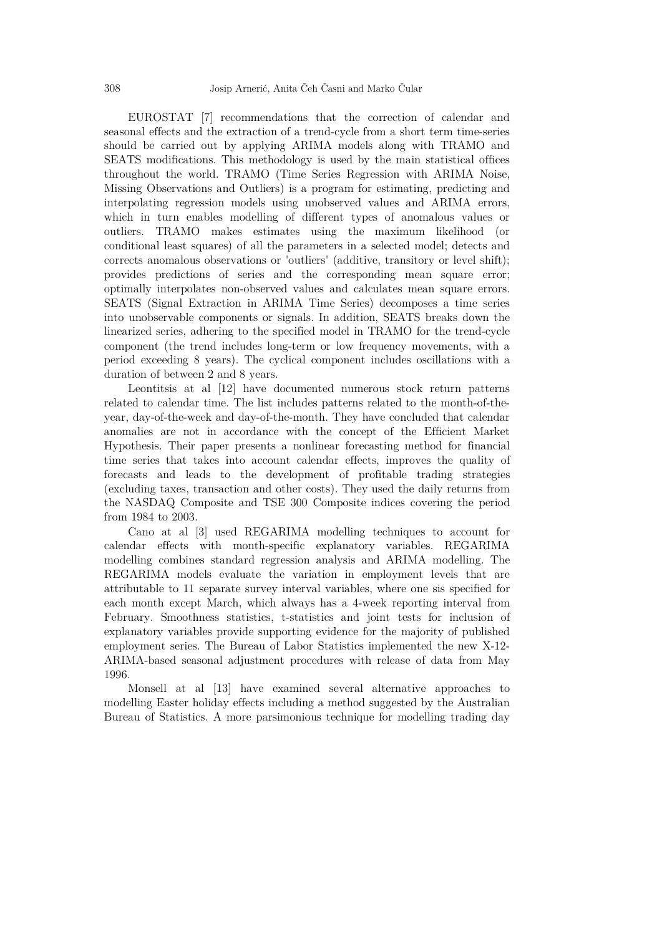EUROSTAT [7] recommendations that the correction of calendar and seasonal effects and the extraction of a trend-cycle from a short term time-series should be carried out by applying ARIMA models along with TRAMO and SEATS modifications. This methodology is used by the main statistical offices throughout the world. TRAMO (Time Series Regression with ARIMA Noise, Missing Observations and Outliers) is a program for estimating, predicting and interpolating regression models using unobserved values and ARIMA errors, which in turn enables modelling of different types of anomalous values or outliers. TRAMO makes estimates using the maximum likelihood (or conditional least squares) of all the parameters in a selected model; detects and corrects anomalous observations or 'outliers' (additive, transitory or level shift); provides predictions of series and the corresponding mean square error; optimally interpolates non-observed values and calculates mean square errors. SEATS (Signal Extraction in ARIMA Time Series) decomposes a time series into unobservable components or signals. In addition, SEATS breaks down the linearized series, adhering to the specified model in TRAMO for the trend-cycle component (the trend includes long-term or low frequency movements, with a period exceeding 8 years). The cyclical component includes oscillations with a duration of between 2 and 8 years.

Leontitsis at al [12] have documented numerous stock return patterns related to calendar time. The list includes patterns related to the month-of-theyear, day-of-the-week and day-of-the-month. They have concluded that calendar anomalies are not in accordance with the concept of the Efficient Market Hypothesis. Their paper presents a nonlinear forecasting method for financial time series that takes into account calendar effects, improves the quality of forecasts and leads to the development of profitable trading strategies (excluding taxes, transaction and other costs). They used the daily returns from the NASDAQ Composite and TSE 300 Composite indices covering the period from 1984 to 2003.

Cano at al [3] used REGARIMA modelling techniques to account for calendar effects with month-specific explanatory variables. REGARIMA modelling combines standard regression analysis and ARIMA modelling. The REGARIMA models evaluate the variation in employment levels that are attributable to 11 separate survey interval variables, where one sis specified for each month except March, which always has a 4-week reporting interval from February. Smoothness statistics, t-statistics and joint tests for inclusion of explanatory variables provide supporting evidence for the majority of published employment series. The Bureau of Labor Statistics implemented the new X-12- ARIMA-based seasonal adjustment procedures with release of data from May 1996.

Monsell at al [13] have examined several alternative approaches to modelling Easter holiday effects including a method suggested by the Australian Bureau of Statistics. A more parsimonious technique for modelling trading day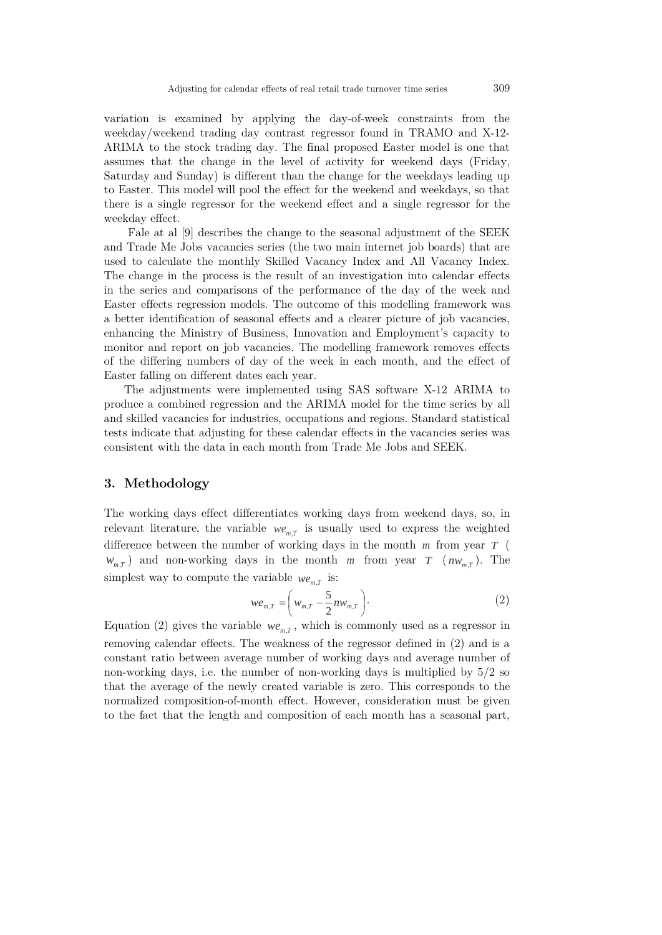variation is examined by applying the day-of-week constraints from the weekday/weekend trading day contrast regressor found in TRAMO and X-12- ARIMA to the stock trading day. The final proposed Easter model is one that assumes that the change in the level of activity for weekend days (Friday, Saturday and Sunday) is different than the change for the weekdays leading up to Easter. This model will pool the effect for the weekend and weekdays, so that there is a single regressor for the weekend effect and a single regressor for the weekday effect.

Fale at al [9] describes the change to the seasonal adjustment of the SEEK and Trade Me Jobs vacancies series (the two main internet job boards) that are used to calculate the monthly Skilled Vacancy Index and All Vacancy Index. The change in the process is the result of an investigation into calendar effects in the series and comparisons of the performance of the day of the week and Easter effects regression models. The outcome of this modelling framework was a better identification of seasonal effects and a clearer picture of job vacancies, enhancing the Ministry of Business, Innovation and Employment's capacity to monitor and report on job vacancies. The modelling framework removes effects of the differing numbers of day of the week in each month, and the effect of Easter falling on different dates each year.

The adjustments were implemented using SAS software X-12 ARIMA to produce a combined regression and the ARIMA model for the time series by all and skilled vacancies for industries, occupations and regions. Standard statistical tests indicate that adjusting for these calendar effects in the vacancies series was consistent with the data in each month from Trade Me Jobs and SEEK.

# **3. Methodology**

The working days effect differentiates working days from weekend days, so, in relevant literature, the variable  $we_{m}$  is usually used to express the weighted difference between the number of working days in the month *m* from year *T* (  $W_{m,T}$ ) and non-working days in the month *m* from year *T* ( $n_{W_{m,T}}$ ). The simplest way to compute the variable  $we_{\eta x}$  is:

$$
we_{m,T} = \left(w_{m,T} - \frac{5}{2}nw_{m,T}\right).
$$
\n<sup>(2)</sup>

Equation (2) gives the variable  $we_{m\tau}$ , which is commonly used as a regressor in removing calendar effects. The weakness of the regressor defined in (2) and is a constant ratio between average number of working days and average number of non-working days, i.e. the number of non-working days is multiplied by 5/2 so that the average of the newly created variable is zero. This corresponds to the normalized composition-of-month effect. However, consideration must be given to the fact that the length and composition of each month has a seasonal part,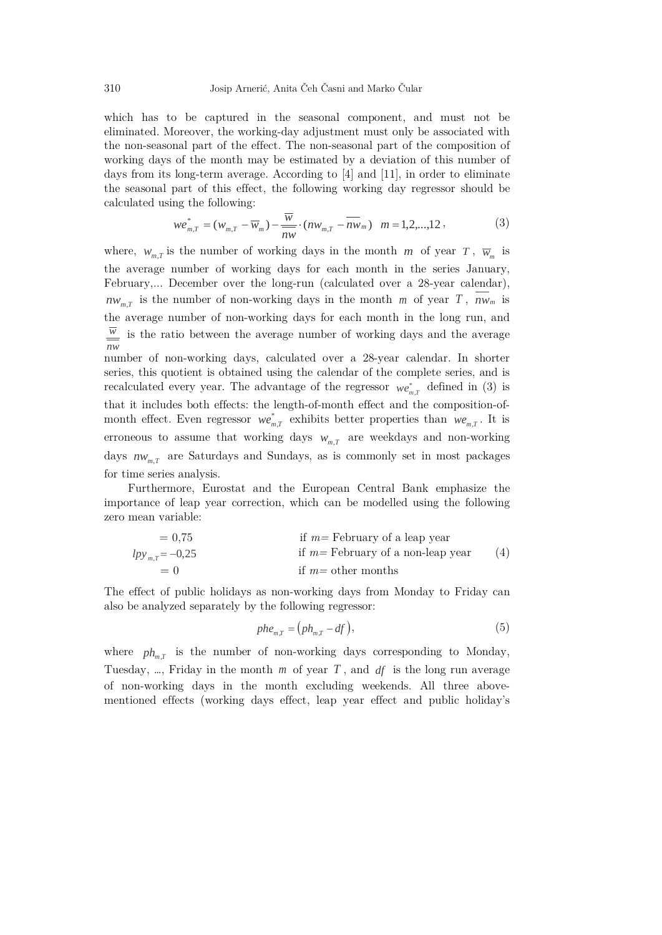which has to be captured in the seasonal component, and must not be eliminated. Moreover, the working-day adjustment must only be associated with the non-seasonal part of the effect. The non-seasonal part of the composition of working days of the month may be estimated by a deviation of this number of days from its long-term average. According to [4] and [11], in order to eliminate the seasonal part of this effect, the following working day regressor should be calculated using the following:

$$
we_{m,T}^* = (w_{m,T} - \overline{w}_m) - \frac{\overline{w}}{\overline{nw}} \cdot (nw_{m,T} - \overline{nw}_m) \quad m = 1, 2, \dots, 12,
$$
 (3)

where,  $w_{m,T}$  is the number of working days in the month *m* of year *T*,  $\overline{w}_m$  is the average number of working days for each month in the series January, February,... December over the long-run (calculated over a 28-year calendar),  $nw_{mT}$  is the number of non-working days in the month *m* of year *T*, *nw<sub>m</sub>* is the average number of non-working days for each month in the long run, and *nw*  $\frac{\overline{w}}{w}$  is the ratio between the average number of working days and the average number of non-working days, calculated over a 28-year calendar. In shorter series, this quotient is obtained using the calendar of the complete series, and is recalculated every year. The advantage of the regressor  $w_{m,\tau}^*$  defined in (3) is that it includes both effects: the length-of-month effect and the composition-ofmonth effect. Even regressor  $we_{mT}^*$  exhibits better properties than  $we_{mT}$ . It is erroneous to assume that working days  $w_{m,T}$  are weekdays and non-working days  $n w_{m}$  are Saturdays and Sundays, as is commonly set in most packages for time series analysis.

Furthermore, Eurostat and the European Central Bank emphasize the importance of leap year correction, which can be modelled using the following zero mean variable:

$$
= 0,75
$$
 if  $m$  = February of a leap year  
\n $lpy_{m,T}$  = -0,25 if  $m$  = February of a non-leap year  
\n= 0 if  $m$  = other months  
\nif  $m$  = other months

The effect of public holidays as non-working days from Monday to Friday can also be analyzed separately by the following regressor:

$$
ph e_{m,T} = (ph_{m,T} - df), \qquad (5)
$$

where  $ph_{mT}$  is the number of non-working days corresponding to Monday, Tuesday, …, Friday in the month *m* of year *T* , and *df* is the long run average of non-working days in the month excluding weekends. All three abovementioned effects (working days effect, leap year effect and public holiday's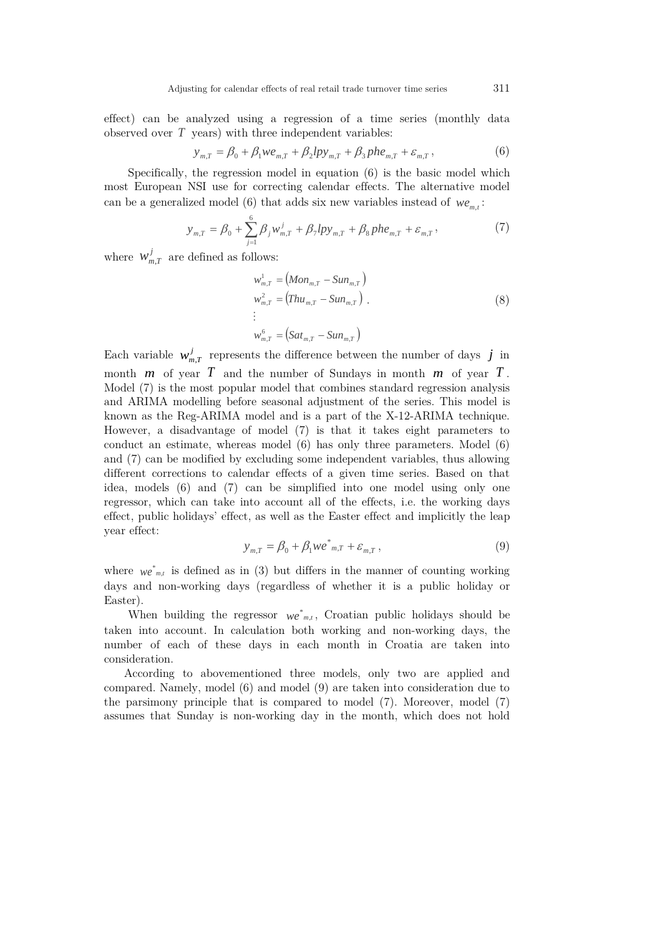effect) can be analyzed using a regression of a time series (monthly data observed over *T* years) with three independent variables:

$$
y_{m,T} = \beta_0 + \beta_1 w e_{m,T} + \beta_2 l p y_{m,T} + \beta_3 p h e_{m,T} + \varepsilon_{m,T},
$$
 (6)

Specifically, the regression model in equation (6) is the basic model which most European NSI use for correcting calendar effects. The alternative model can be a generalized model (6) that adds six new variables instead of  $we_m$ ;

$$
y_{m,T} = \beta_0 + \sum_{j=1}^{6} \beta_j w_{m,T}^j + \beta_7 l p y_{m,T} + \beta_8 p h e_{m,T} + \varepsilon_{m,T},
$$
 (7)

where  $W_{m,T}^J$  are defined as follows:

$$
w_{m,T}^{1} = (Mon_{m,T} - Sun_{m,T})
$$
  
\n
$$
w_{m,T}^{2} = (Thu_{m,T} - Sun_{m,T})
$$
  
\n
$$
\vdots
$$
  
\n
$$
w_{m,T}^{6} = (Sat_{m,T} - Sun_{m,T})
$$
\n(8)

Each variable  $w_{m,T}^j$  represents the difference between the number of days *j* in month  $m$  of year  $T$  and the number of Sundays in month  $m$  of year  $T$ . Model (7) is the most popular model that combines standard regression analysis and ARIMA modelling before seasonal adjustment of the series. This model is known as the Reg-ARIMA model and is a part of the X-12-ARIMA technique. However, a disadvantage of model (7) is that it takes eight parameters to conduct an estimate, whereas model (6) has only three parameters. Model (6) and (7) can be modified by excluding some independent variables, thus allowing different corrections to calendar effects of a given time series. Based on that idea, models (6) and (7) can be simplified into one model using only one regressor, which can take into account all of the effects, i.e. the working days effect, public holidays' effect, as well as the Easter effect and implicitly the leap year effect:

$$
y_{m,T} = \beta_0 + \beta_1 w e^*_{m,T} + \varepsilon_{m,T}, \qquad (9)
$$

where  $we_{m,t}^*$  is defined as in (3) but differs in the manner of counting working days and non-working days (regardless of whether it is a public holiday or Easter).

When building the regressor  $we^*_{m,t}$ , Croatian public holidays should be taken into account. In calculation both working and non-working days, the number of each of these days in each month in Croatia are taken into consideration.

According to abovementioned three models, only two are applied and compared. Namely, model (6) and model (9) are taken into consideration due to the parsimony principle that is compared to model (7). Moreover, model (7) assumes that Sunday is non-working day in the month, which does not hold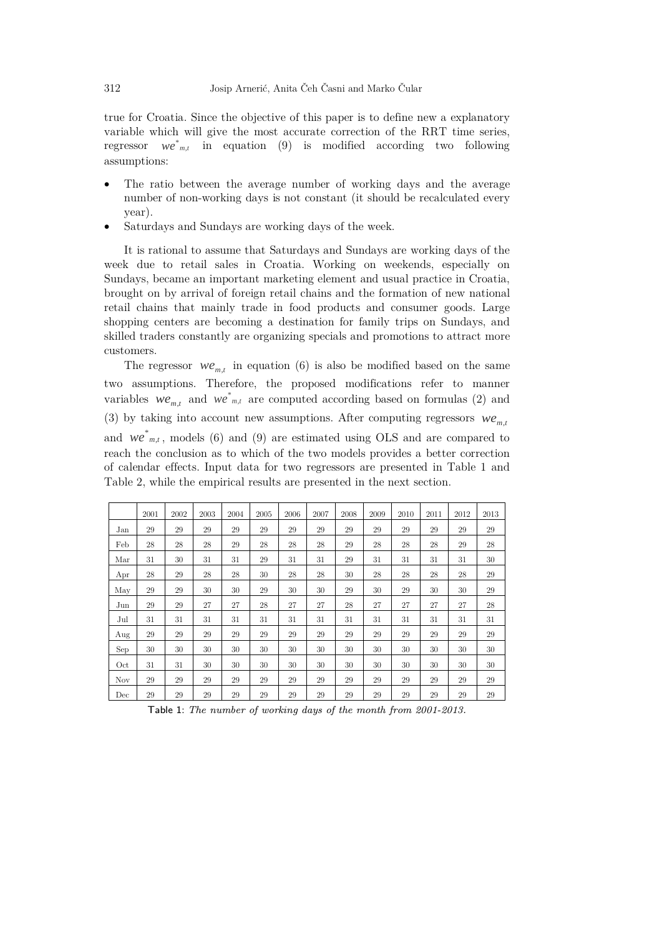true for Croatia. Since the objective of this paper is to define new a explanatory variable which will give the most accurate correction of the RRT time series, regressor  $we^*_{m,t}$  in equation (9) is modified according two following assumptions:

- The ratio between the average number of working days and the average number of non-working days is not constant (it should be recalculated every year).
- Saturdays and Sundays are working days of the week.

It is rational to assume that Saturdays and Sundays are working days of the week due to retail sales in Croatia. Working on weekends, especially on Sundays, became an important marketing element and usual practice in Croatia, brought on by arrival of foreign retail chains and the formation of new national retail chains that mainly trade in food products and consumer goods. Large shopping centers are becoming a destination for family trips on Sundays, and skilled traders constantly are organizing specials and promotions to attract more customers.

The regressor  $we_{m,t}$  in equation (6) is also be modified based on the same two assumptions. Therefore, the proposed modifications refer to manner variables  $we_{m,t}$  and  $we_{m,t}^*$  are computed according based on formulas (2) and (3) by taking into account new assumptions. After computing regressors  $we_{m}$ , and  $We^*_{m,t}$ , models (6) and (9) are estimated using OLS and are compared to reach the conclusion as to which of the two models provides a better correction of calendar effects. Input data for two regressors are presented in Table 1 and Table 2, while the empirical results are presented in the next section.

|            | 2001 | 2002 | 2003 | 2004 | 2005 | 2006 | 2007 | 2008 | 2009 | 2010 | 2011 | 2012 | 2013 |
|------------|------|------|------|------|------|------|------|------|------|------|------|------|------|
| Jan        | 29   | 29   | 29   | 29   | 29   | 29   | 29   | 29   | 29   | 29   | 29   | 29   | 29   |
| Feb        | 28   | 28   | 28   | 29   | 28   | 28   | 28   | 29   | 28   | 28   | 28   | 29   | 28   |
| Mar        | 31   | 30   | 31   | 31   | 29   | 31   | 31   | 29   | 31   | 31   | 31   | 31   | 30   |
| Apr        | 28   | 29   | 28   | 28   | 30   | 28   | 28   | 30   | 28   | 28   | 28   | 28   | 29   |
| May        | 29   | 29   | 30   | 30   | 29   | 30   | 30   | 29   | 30   | 29   | 30   | 30   | 29   |
| Jun        | 29   | 29   | 27   | 27   | 28   | 27   | 27   | 28   | 27   | 27   | 27   | 27   | 28   |
| Jul        | 31   | 31   | 31   | 31   | 31   | 31   | 31   | 31   | 31   | 31   | 31   | 31   | 31   |
| Aug        | 29   | 29   | 29   | 29   | 29   | 29   | 29   | 29   | 29   | 29   | 29   | 29   | 29   |
| Sep        | 30   | 30   | 30   | 30   | 30   | 30   | 30   | 30   | 30   | 30   | 30   | 30   | 30   |
| Oct        | 31   | 31   | 30   | 30   | 30   | 30   | 30   | 30   | 30   | 30   | 30   | 30   | 30   |
| <b>Nov</b> | 29   | 29   | 29   | 29   | 29   | 29   | 29   | 29   | 29   | 29   | 29   | 29   | 29   |
| Dec        | 29   | 29   | 29   | 29   | 29   | 29   | 29   | 29   | 29   | 29   | 29   | 29   | 29   |

Table 1: The number of working days of the month from 2001-2013.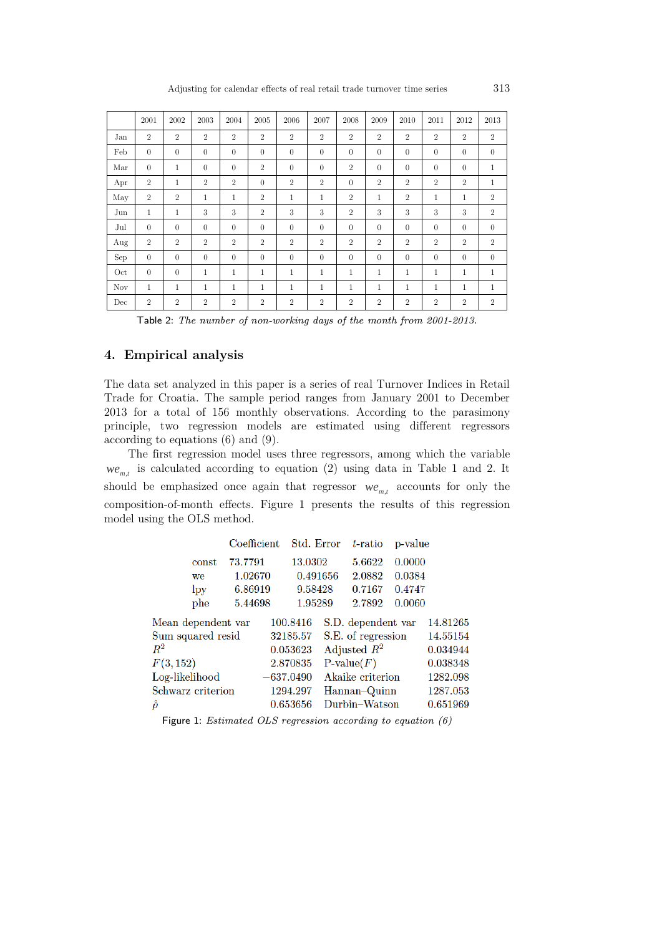|     | 2001           | 2002             | 2003           | 2004           | 2005           | 2006           | 2007             | 2008             | 2009           | 2010           | 2011           | 2012           | 2013           |
|-----|----------------|------------------|----------------|----------------|----------------|----------------|------------------|------------------|----------------|----------------|----------------|----------------|----------------|
| Jan | $\overline{2}$ | $\overline{2}$   | $\overline{2}$ | $\overline{2}$ | $\overline{2}$ | $\overline{2}$ | $\overline{2}$   | $\overline{2}$   | $\overline{2}$ | $\overline{2}$ | $\overline{2}$ | $\overline{2}$ | $\sqrt{2}$     |
| Feb | $\theta$       | $\overline{0}$   | $\theta$       | $\theta$       | $\theta$       | $\theta$       | $\theta$         | $\theta$         | $\theta$       | $\theta$       | $\theta$       | $\theta$       | $\mathbf{0}$   |
| Mar | $\theta$       | $\mathbf{1}$     | $\overline{0}$ | $\theta$       | $\overline{2}$ | $\theta$       | $\theta$         | $\overline{2}$   | $\theta$       | 0              | $\theta$       | $\theta$       | $\mathbf{1}$   |
| Apr | $\overline{2}$ | $\mathbf{1}$     | $\overline{2}$ | $\overline{2}$ | $\theta$       | $\overline{2}$ | $\overline{2}$   | $\boldsymbol{0}$ | $\overline{2}$ | $\overline{2}$ | $\overline{2}$ | $\overline{2}$ | $\mathbf{1}$   |
| May | $\overline{2}$ | $\overline{2}$   | $\mathbf{1}$   | $\mathbf 1$    | $\overline{2}$ | 1              | 1                | $\overline{2}$   | $\mathbf{1}$   | $\overline{2}$ | 1              | $\mathbf{1}$   | $\overline{2}$ |
| Jun | 1              | $\mathbf{1}$     | 3              | 3              | $\overline{2}$ | 3              | 3                | $\overline{2}$   | 3              | 3              | 3              | 3              | $\overline{2}$ |
| Jul | $\theta$       | $\overline{0}$   | $\theta$       | $\theta$       | $\theta$       | $\theta$       | $\theta$         | $\theta$         | $\theta$       | $\theta$       | $\theta$       | $\theta$       | $\theta$       |
| Aug | $\overline{2}$ | $\overline{2}$   | $\overline{2}$ | $\sqrt{2}$     | $\sqrt{2}$     | $\overline{2}$ | $\boldsymbol{2}$ | $\overline{2}$   | $\overline{2}$ | $\overline{2}$ | $\overline{2}$ | $\overline{2}$ | $\overline{2}$ |
| Sep | $\theta$       | $\overline{0}$   | $\overline{0}$ | $\theta$       | $\theta$       | $\theta$       | $\theta$         | $\theta$         | $\Omega$       | $\overline{0}$ | $\theta$       | $\theta$       | $\theta$       |
| Oct | $\theta$       | $\overline{0}$   | $\mathbf{1}$   | $\mathbf 1$    | 1              | $\mathbf{1}$   | $\mathbf{1}$     | 1                | $\mathbf{1}$   | $\mathbf{1}$   | $\mathbf{1}$   | 1              | $\mathbf{1}$   |
| Nov | $\mathbf{1}$   | 1                | $\mathbf{1}$   | $\mathbf{1}$   | $\mathbf{1}$   | $\mathbf{1}$   | $\mathbf{1}$     | $\mathbf{1}$     | $\mathbf{1}$   | $\mathbf{1}$   | $\mathbf{1}$   | $\mathbf{1}$   | $\mathbf{1}$   |
| Dec | $\overline{2}$ | $\boldsymbol{2}$ | $\overline{2}$ | $\overline{2}$ | $\overline{2}$ | $\overline{2}$ | $\boldsymbol{2}$ | $\overline{2}$   | $\overline{2}$ | $\overline{2}$ | $\overline{2}$ | $\overline{2}$ | $\overline{2}$ |

Table 2: The number of non-working days of the month from 2001-2013.

### **4. Empirical analysis**

The data set analyzed in this paper is a series of real Turnover Indices in Retail Trade for Croatia. The sample period ranges from January 2001 to December 2013 for a total of 156 monthly observations. According to the parasimony principle, two regression models are estimated using different regressors according to equations (6) and (9).

The first regression model uses three regressors, among which the variable  $we_{m,t}$  is calculated according to equation (2) using data in Table 1 and 2. It should be emphasized once again that regressor  $we_{m,t}$  accounts for only the composition-of-month effects. Figure 1 presents the results of this regression model using the OLS method.

|                |                    | Coefficient |             | Std. Error | $t$ -ratio         | p-value |          |
|----------------|--------------------|-------------|-------------|------------|--------------------|---------|----------|
|                | const              | 73.7791     |             | 13.0302    | 5.6622             | 0.0000  |          |
|                | we                 | 1.02670     |             | 0.491656   | 2.0882             | 0.0384  |          |
|                | lpy                | 6.86919     |             | 9.58428    | 0.7167             | 0.4747  |          |
|                | phe                | 5.44698     |             | 1.95289    | 2.7892             | 0.0060  |          |
|                | Mean dependent var |             | 100.8416    |            | S.D. dependent var |         | 14.81265 |
|                | Sum squared resid  |             | 32185.57    |            | S.E. of regression |         | 14.55154 |
| $R^2$          |                    |             | 0.053623    |            | Adjusted $R^2$     |         | 0.034944 |
| F(3, 152)      |                    |             | 2.870835    |            | $P-value(F)$       |         | 0.038348 |
| Log-likelihood |                    |             | $-637.0490$ |            | Akaike criterion   |         | 1282.098 |
|                | Schwarz criterion  |             | 1294.297    |            | Hannan–Quinn       |         | 1287.053 |
| $\hat{\rho}$   |                    |             | 0.653656    |            | Durbin-Watson      |         | 0.651969 |
|                |                    |             |             |            |                    |         |          |

Figure 1: Estimated OLS regression according to equation (6)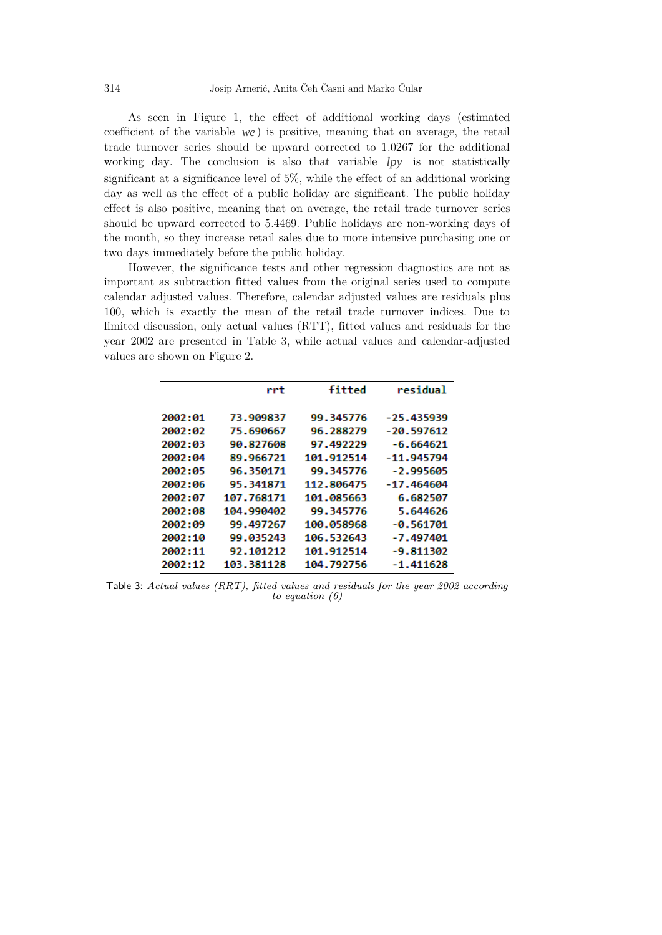As seen in Figure 1, the effect of additional working days (estimated coefficient of the variable *we* ) is positive, meaning that on average, the retail trade turnover series should be upward corrected to 1.0267 for the additional working day. The conclusion is also that variable *lpy* is not statistically significant at a significance level of 5%, while the effect of an additional working day as well as the effect of a public holiday are significant. The public holiday effect is also positive, meaning that on average, the retail trade turnover series should be upward corrected to 5.4469. Public holidays are non-working days of the month, so they increase retail sales due to more intensive purchasing one or two days immediately before the public holiday.

However, the significance tests and other regression diagnostics are not as important as subtraction fitted values from the original series used to compute calendar adjusted values. Therefore, calendar adjusted values are residuals plus 100, which is exactly the mean of the retail trade turnover indices. Due to limited discussion, only actual values (RTT), fitted values and residuals for the year 2002 are presented in Table 3, while actual values and calendar-adjusted values are shown on Figure 2.

|         | rrt        | fitted     | residual     |
|---------|------------|------------|--------------|
| 2002:01 | 73.909837  | 99.345776  | -25.435939   |
| 2002:02 | 75.690667  | 96.288279  | $-20.597612$ |
| 2002:03 | 90.827608  | 97.492229  | $-6.664621$  |
| 2002:04 | 89.966721  | 101.912514 | $-11.945794$ |
| 2002:05 | 96.350171  | 99.345776  | $-2.995605$  |
| 2002:06 | 95.341871  | 112.806475 | $-17.464604$ |
| 2002:07 | 107.768171 | 101.085663 | 6.682507     |
| 2002:08 | 104.990402 | 99.345776  | 5.644626     |
| 2002:09 | 99.497267  | 100.058968 | $-0.561701$  |
| 2002:10 | 99.035243  | 106.532643 | $-7.497401$  |
| 2002:11 | 92.101212  | 101.912514 | $-9.811302$  |
| 2002:12 | 103.381128 | 104.792756 | $-1.411628$  |

Table 3: Actual values (RRT), fitted values and residuals for the year 2002 according to equation (6)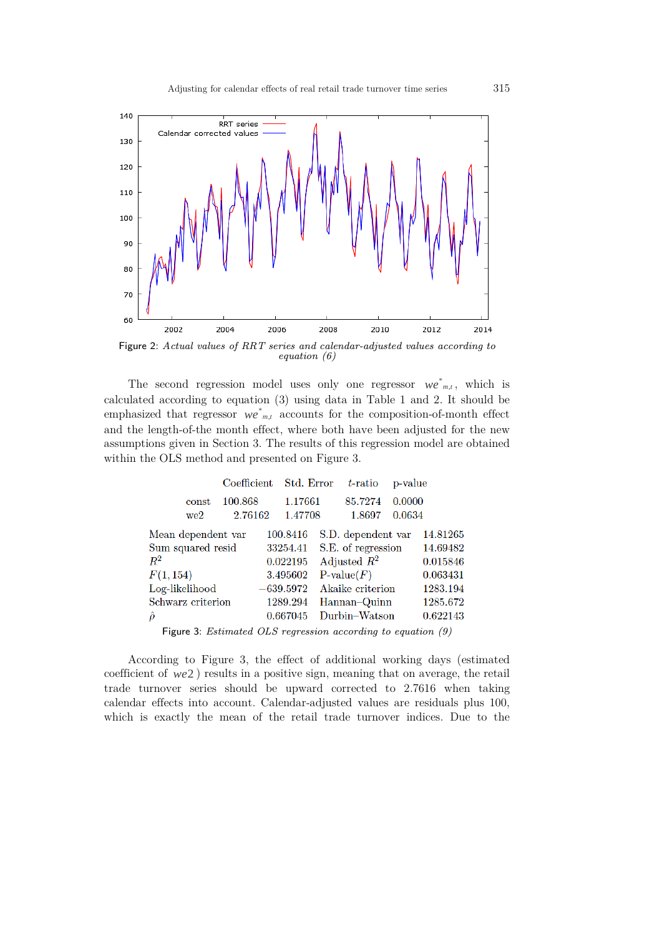

equation (6)

The second regression model uses only one regressor  $we^*_{mt}$ , which is calculated according to equation (3) using data in Table 1 and 2. It should be emphasized that regressor  $we_{m,t}^*$  accounts for the composition-of-month effect and the length-of-the month effect, where both have been adjusted for the new assumptions given in Section 3. The results of this regression model are obtained within the OLS method and presented on Figure 3.

|                    | Coefficient                                                                      | Std. Error  | $t$ -ratio                  | p-value |          |
|--------------------|----------------------------------------------------------------------------------|-------------|-----------------------------|---------|----------|
| const              | 100.868                                                                          | 1.17661     | 85.7274                     | 0.0000  |          |
| we2                | 2.76162                                                                          | 1.47708     | 1.8697                      | 0.0634  |          |
| Mean dependent var |                                                                                  | 100.8416    | S.D. dependent var          |         | 14.81265 |
| Sum squared resid  |                                                                                  |             | 33254.41 S.E. of regression |         | 14.69482 |
| $\,R^2$            |                                                                                  | 0.022195    | Adjusted $R^2$              |         | 0.015846 |
| F(1, 154)          |                                                                                  | 3.495602    | $P-value(F)$                |         | 0.063431 |
| Log-likelihood     |                                                                                  | $-639.5972$ | Akaike criterion            |         | 1283.194 |
| Schwarz criterion  |                                                                                  | 1289.294    | Hannan-Quinn                |         | 1285.672 |
| ô                  |                                                                                  | 0.667045    | Durbin-Watson               |         | 0.622143 |
|                    | $\Omega$ $\Gamma$ $\Omega$ $\Gamma$ $\Gamma$ $\Gamma$ $\Gamma$ $\Gamma$ $\Gamma$ |             |                             |         |          |

Figure 3: Estimated OLS regression according to equation (9)

According to Figure 3, the effect of additional working days (estimated coefficient of *we*2 ) results in a positive sign, meaning that on average, the retail trade turnover series should be upward corrected to 2.7616 when taking calendar effects into account. Calendar-adjusted values are residuals plus 100, which is exactly the mean of the retail trade turnover indices. Due to the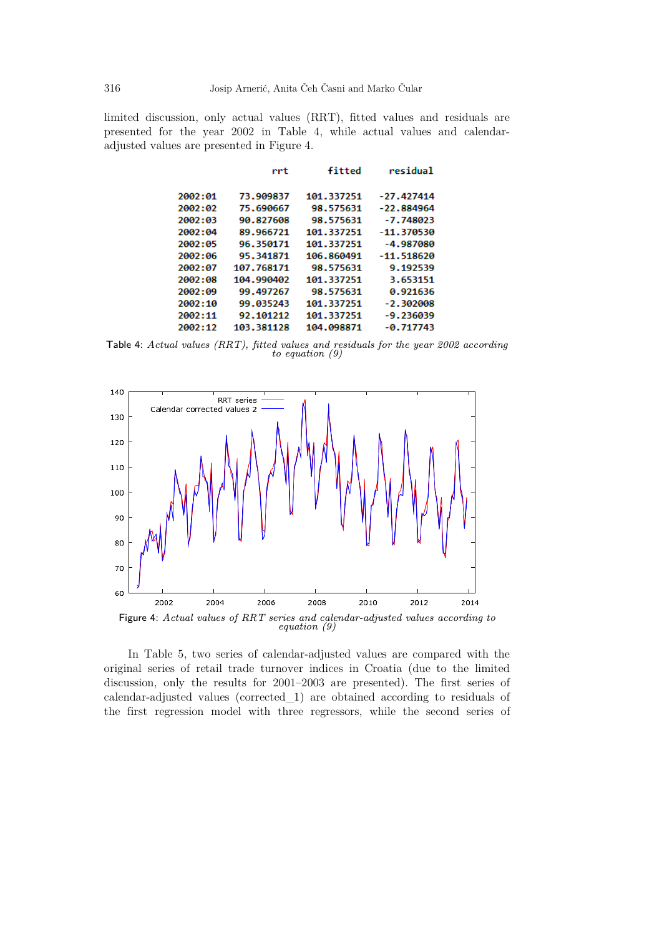limited discussion, only actual values (RRT), fitted values and residuals are presented for the year 2002 in Table 4, while actual values and calendaradjusted values are presented in Figure 4.

|         | rrt        | fitted     | residual     |
|---------|------------|------------|--------------|
| 2002:01 | 73.909837  | 101.337251 | $-27.427414$ |
| 2002:02 | 75.690667  | 98.575631  | $-22.884964$ |
| 2002:03 | 90.827608  | 98.575631  | $-7.748023$  |
| 2002:04 | 89.966721  | 101.337251 | $-11.370530$ |
| 2002:05 | 96.350171  | 101.337251 | $-4.987080$  |
| 2002:06 | 95.341871  | 106.860491 | $-11.518620$ |
| 2002:07 | 107.768171 | 98.575631  | 9.192539     |
| 2002:08 | 104.990402 | 101.337251 | 3.653151     |
| 2002:09 | 99.497267  | 98.575631  | 0.921636     |
| 2002:10 | 99.035243  | 101.337251 | $-2.302008$  |
| 2002:11 | 92.101212  | 101.337251 | $-9.236039$  |
| 2002:12 | 103.381128 | 104.098871 | $-0.717743$  |

Table 4: Actual values (RRT), fitted values and residuals for the year 2002 according to equation (9)



Figure 4: Actual values of RRT series and calendar-adjusted values according to equation  $(9)$ 

In Table 5, two series of calendar-adjusted values are compared with the original series of retail trade turnover indices in Croatia (due to the limited discussion, only the results for 2001–2003 are presented). The first series of calendar-adjusted values (corrected\_1) are obtained according to residuals of the first regression model with three regressors, while the second series of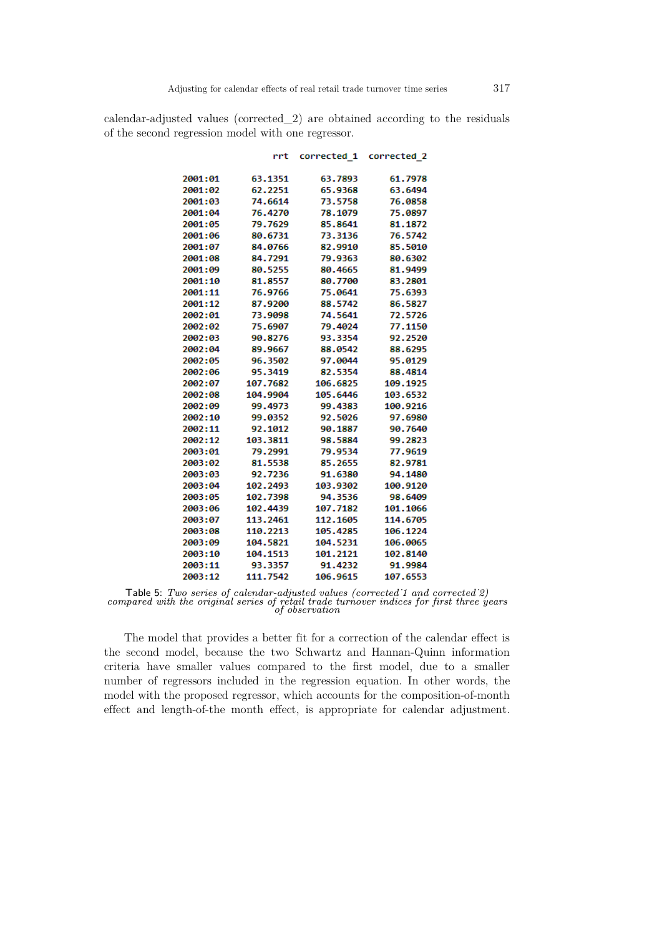calendar-adjusted values (corrected\_2) are obtained according to the residuals of the second regression model with one regressor.

| 2001:01 | 63.1351  | 63.7893  | 61.7978  |
|---------|----------|----------|----------|
| 2001:02 | 62.2251  | 65.9368  | 63.6494  |
| 2001:03 | 74.6614  | 73.5758  | 76.0858  |
| 2001:04 | 76.4270  | 78.1079  | 75.0897  |
| 2001:05 | 79.7629  | 85.8641  | 81.1872  |
| 2001:06 | 80.6731  | 73.3136  | 76.5742  |
| 2001:07 | 84.0766  | 82.9910  | 85.5010  |
| 2001:08 | 84.7291  | 79.9363  | 80.6302  |
| 2001:09 | 80.5255  | 80.4665  | 81.9499  |
| 2001:10 | 81.8557  | 80.7700  | 83.2801  |
| 2001:11 | 76.9766  | 75.0641  | 75.6393  |
| 2001:12 | 87.9200  | 88.5742  | 86.5827  |
| 2002:01 | 73.9098  | 74.5641  | 72.5726  |
| 2002:02 | 75.6907  | 79.4024  | 77.1150  |
| 2002:03 | 90.8276  | 93.3354  | 92.2520  |
| 2002:04 | 89.9667  | 88.0542  | 88.6295  |
| 2002:05 | 96.3502  | 97.0044  | 95.0129  |
| 2002:06 | 95.3419  | 82.5354  | 88.4814  |
| 2002:07 | 107.7682 | 106.6825 | 109.1925 |
| 2002:08 | 104.9904 | 105.6446 | 103.6532 |
| 2002:09 | 99.4973  | 99.4383  | 100.9216 |
| 2002:10 | 99.0352  | 92.5026  | 97.6980  |
| 2002:11 | 92.1012  | 90.1887  | 90.7640  |
| 2002:12 | 103.3811 | 98.5884  | 99.2823  |
| 2003:01 | 79.2991  | 79.9534  | 77.9619  |
| 2003:02 | 81.5538  | 85.2655  | 82.9781  |
| 2003:03 | 92.7236  | 91.6380  | 94.1480  |
| 2003:04 | 102.2493 | 103.9302 | 100.9120 |
| 2003:05 | 102.7398 | 94.3536  | 98.6409  |
| 2003:06 | 102.4439 | 107.7182 | 101.1066 |
| 2003:07 | 113.2461 | 112.1605 | 114.6705 |
| 2003:08 | 110.2213 | 105.4285 | 106.1224 |
| 2003:09 | 104.5821 | 104.5231 | 106.0065 |
| 2003:10 | 104.1513 | 101.2121 | 102.8140 |
| 2003:11 | 93.3357  | 91.4232  | 91.9984  |
| 2003:12 | 111.7542 | 106.9615 | 107.6553 |

rrt corrected 1 corrected 2

The model that provides a better fit for a correction of the calendar effect is the second model, because the two Schwartz and Hannan-Quinn information criteria have smaller values compared to the first model, due to a smaller number of regressors included in the regression equation. In other words, the model with the proposed regressor, which accounts for the composition-of-month effect and length-of-the month effect, is appropriate for calendar adjustment.

Table 5: Two series of calendar-adjusted values (corrected 1 and corrected 2) compared with the original series of retail trade turnover indices for first three years of observation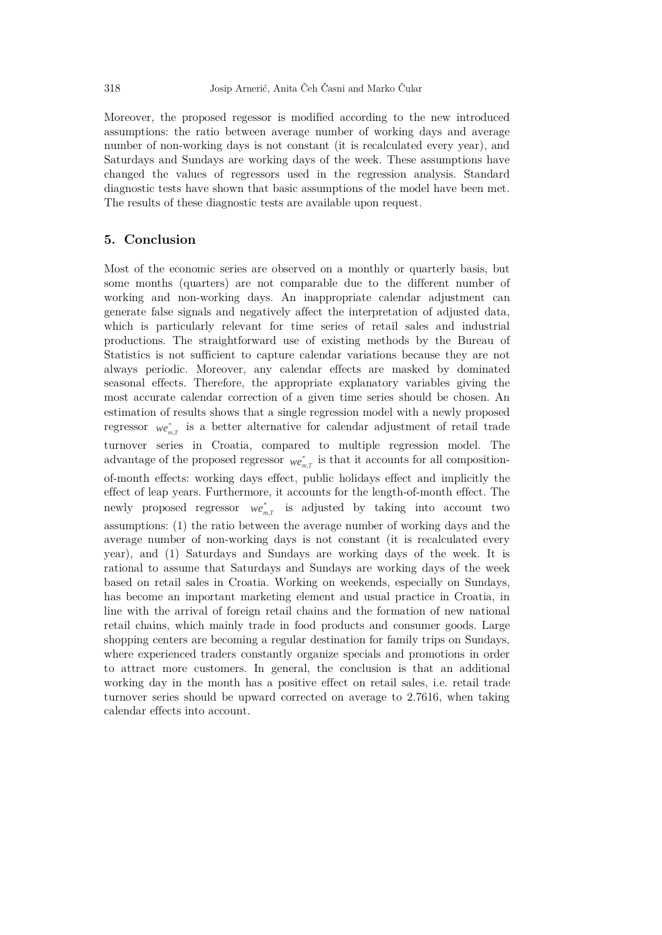Moreover, the proposed regessor is modified according to the new introduced assumptions: the ratio between average number of working days and average number of non-working days is not constant (it is recalculated every year), and Saturdays and Sundays are working days of the week. These assumptions have changed the values of regressors used in the regression analysis. Standard diagnostic tests have shown that basic assumptions of the model have been met. The results of these diagnostic tests are available upon request.

## **5. Conclusion**

Most of the economic series are observed on a monthly or quarterly basis, but some months (quarters) are not comparable due to the different number of working and non-working days. An inappropriate calendar adjustment can generate false signals and negatively affect the interpretation of adjusted data, which is particularly relevant for time series of retail sales and industrial productions. The straightforward use of existing methods by the Bureau of Statistics is not sufficient to capture calendar variations because they are not always periodic. Moreover, any calendar effects are masked by dominated seasonal effects. Therefore, the appropriate explanatory variables giving the most accurate calendar correction of a given time series should be chosen. An estimation of results shows that a single regression model with a newly proposed regressor  $we_{m,\tau}^*$  is a better alternative for calendar adjustment of retail trade turnover series in Croatia, compared to multiple regression model. The advantage of the proposed regressor  $we_{m}^*$  is that it accounts for all compositionof-month effects: working days effect, public holidays effect and implicitly the effect of leap years. Furthermore, it accounts for the length-of-month effect. The newly proposed regressor  $we_{m}^*$  is adjusted by taking into account two assumptions: (1) the ratio between the average number of working days and the average number of non-working days is not constant (it is recalculated every year), and (1) Saturdays and Sundays are working days of the week. It is rational to assume that Saturdays and Sundays are working days of the week based on retail sales in Croatia. Working on weekends, especially on Sundays, has become an important marketing element and usual practice in Croatia, in line with the arrival of foreign retail chains and the formation of new national retail chains, which mainly trade in food products and consumer goods. Large shopping centers are becoming a regular destination for family trips on Sundays, where experienced traders constantly organize specials and promotions in order to attract more customers. In general, the conclusion is that an additional working day in the month has a positive effect on retail sales, i.e. retail trade turnover series should be upward corrected on average to 2.7616, when taking calendar effects into account.